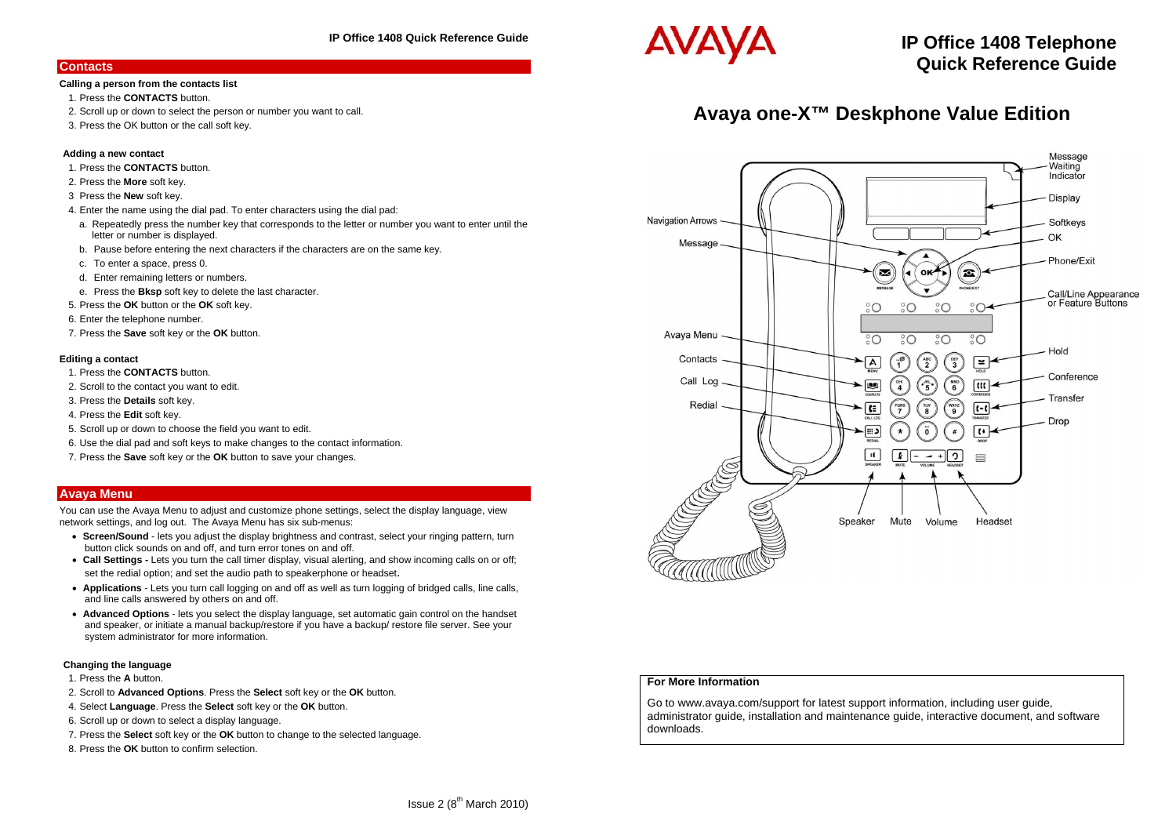### **Contacts**

### **Calling a person from the contacts list**

- 1. Press the **CONTACTS** button.
- 
- 

### **Adding a new contact**

- 1. Press the **CONTACTS** button.
- 2. Press the **More** soft key.
- 3 Press the **New** soft key.
- 4. Enter the name using the dial pad. To enter characters using the dial pad:
- a. Repeatedly press the number key that corresponds to the letter or number you want to enter until the letter or number is displayed.
- b. Pause before entering the next characters if the characters are on the same key.
- c. To enter a space, press 0.
- d. Enter remaining letters or numbers.
- e. Press the **Bksp** soft key to delete the last character.
- 5. Press the **OK** button or the **OK** soft key.
- 6. Enter the telephone number.
- 7. Press the **Save** soft key or the **OK** button.

#### **Editing a contact**

- 1. Press the **CONTACTS** button.
- 2. Scroll to the contact you want to edit.
- 3. Press the **Details** soft key.
- 4. Press the **Edit** soft key.
- 5. Scroll up or down to choose the field you want to edit.
- 6. Use the dial pad and soft keys to make changes to the contact information.
- 7. Press the **Save** soft key or the **OK** button to save your changes.

### **Avaya Menu**

You can use the Avaya Menu to adjust and customize phone settings, select the display language, view network settings, and log out. The Avaya Menu has six sub-menus:

- **Screen/Sound** lets you adjust the display brightness and contrast, select your ringing pattern, turn button click sounds on and off, and turn error tones on and off.
- **Call Settings** Lets you turn the call timer display, visual alerting, and show incoming calls on or off; set the redial option; and set the audio path to speakerphone or headset.
- **Applications** Lets you turn call logging on and off as well as turn logging of bridged calls, line calls, and line calls answered by others on and off.
- **Advanced Options** lets you select the display language, set automatic gain control on the handset and speaker, or initiate a manual backup/restore if you have a backup/ restore file server. See your system administrator for more information.

### **Changing the language**

- 1. Press the **A** button. **For More Information**
- 2. Scroll to **Advanced Options**. Press the **Select** soft key or the **OK** button.
- 4. Select **Language**. Press the **Select** soft key or the **OK** button.
- 6. Scroll up or down to select a display language.
- 7. Press the **Select** soft key or the **OK** button to change to the selected language.
- 8. Press the **OK** button to confirm selection.



## **IP Office 1408 Telephone Quick Reference Guide**

# 2. Scroll up or down to select the person or number you want to call.<br>3. Press the OK button or the call soft key.



Go to www.avaya.com/support for latest support information, including user guide, administrator guide, installation and maintenance guide, interactive document, and software downloads.